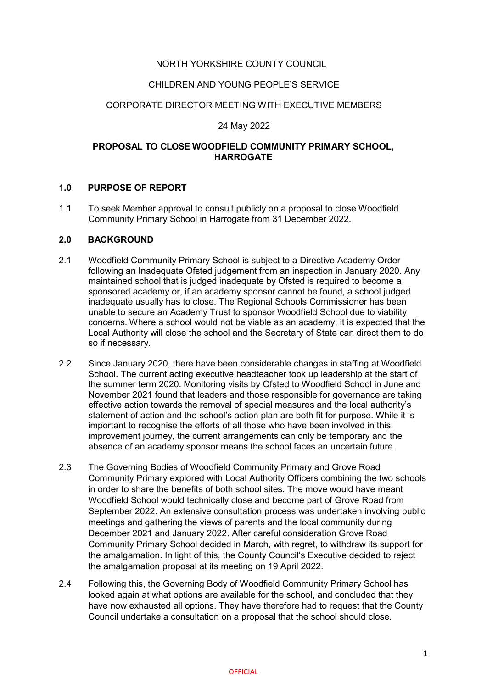# NORTH YORKSHIRE COUNTY COUNCIL

#### CHILDREN AND YOUNG PEOPLE'S SERVICE

#### CORPORATE DIRECTOR MEETING WITH EXECUTIVE MEMBERS

#### 24 May 2022

### **PROPOSAL TO CLOSE WOODFIELD COMMUNITY PRIMARY SCHOOL, HARROGATE**

#### **1.0 PURPOSE OF REPORT**

1.1 To seek Member approval to consult publicly on a proposal to close Woodfield Community Primary School in Harrogate from 31 December 2022.

#### **2.0 BACKGROUND**

- 2.1 Woodfield Community Primary School is subject to a Directive Academy Order following an Inadequate Ofsted judgement from an inspection in January 2020. Any maintained school that is judged inadequate by Ofsted is required to become a sponsored academy or, if an academy sponsor cannot be found, a school judged inadequate usually has to close. The Regional Schools Commissioner has been unable to secure an Academy Trust to sponsor Woodfield School due to viability concerns. Where a school would not be viable as an academy, it is expected that the Local Authority will close the school and the Secretary of State can direct them to do so if necessary.
- 2.2 Since January 2020, there have been considerable changes in staffing at Woodfield School. The current acting executive headteacher took up leadership at the start of the summer term 2020. Monitoring visits by Ofsted to Woodfield School in June and November 2021 found that leaders and those responsible for governance are taking effective action towards the removal of special measures and the local authority's statement of action and the school's action plan are both fit for purpose. While it is important to recognise the efforts of all those who have been involved in this improvement journey, the current arrangements can only be temporary and the absence of an academy sponsor means the school faces an uncertain future.
- 2.3 The Governing Bodies of Woodfield Community Primary and Grove Road Community Primary explored with Local Authority Officers combining the two schools in order to share the benefits of both school sites. The move would have meant Woodfield School would technically close and become part of Grove Road from September 2022. An extensive consultation process was undertaken involving public meetings and gathering the views of parents and the local community during December 2021 and January 2022. After careful consideration Grove Road Community Primary School decided in March, with regret, to withdraw its support for the amalgamation. In light of this, the County Council's Executive decided to reject the amalgamation proposal at its meeting on 19 April 2022.
- 2.4 Following this, the Governing Body of Woodfield Community Primary School has looked again at what options are available for the school, and concluded that they have now exhausted all options. They have therefore had to request that the County Council undertake a consultation on a proposal that the school should close.

#### **OFFICIAL**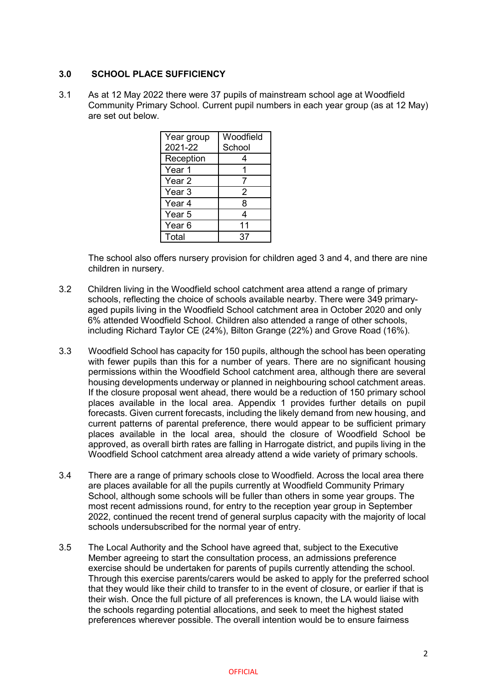# **3.0 SCHOOL PLACE SUFFICIENCY**

3.1 As at 12 May 2022 there were 37 pupils of mainstream school age at Woodfield Community Primary School. Current pupil numbers in each year group (as at 12 May) are set out below.

| Year group        | Woodfield |
|-------------------|-----------|
| 2021-22           | School    |
| Reception         | 4         |
| Year 1            |           |
| Year <sub>2</sub> |           |
| Year <sub>3</sub> | 2         |
| Year 4            | 8         |
| Year <sub>5</sub> | 4         |
| Year <sub>6</sub> | 11        |
| Total             | 37        |

The school also offers nursery provision for children aged 3 and 4, and there are nine children in nursery.

- 3.2 Children living in the Woodfield school catchment area attend a range of primary schools, reflecting the choice of schools available nearby. There were 349 primaryaged pupils living in the Woodfield School catchment area in October 2020 and only 6% attended Woodfield School. Children also attended a range of other schools, including Richard Taylor CE (24%), Bilton Grange (22%) and Grove Road (16%).
- 3.3 Woodfield School has capacity for 150 pupils, although the school has been operating with fewer pupils than this for a number of years. There are no significant housing permissions within the Woodfield School catchment area, although there are several housing developments underway or planned in neighbouring school catchment areas. If the closure proposal went ahead, there would be a reduction of 150 primary school places available in the local area. Appendix 1 provides further details on pupil forecasts. Given current forecasts, including the likely demand from new housing, and current patterns of parental preference, there would appear to be sufficient primary places available in the local area, should the closure of Woodfield School be approved, as overall birth rates are falling in Harrogate district, and pupils living in the Woodfield School catchment area already attend a wide variety of primary schools.
- 3.4 There are a range of primary schools close to Woodfield. Across the local area there are places available for all the pupils currently at Woodfield Community Primary School, although some schools will be fuller than others in some year groups. The most recent admissions round, for entry to the reception year group in September 2022, continued the recent trend of general surplus capacity with the majority of local schools undersubscribed for the normal year of entry.
- 3.5 The Local Authority and the School have agreed that, subject to the Executive Member agreeing to start the consultation process, an admissions preference exercise should be undertaken for parents of pupils currently attending the school. Through this exercise parents/carers would be asked to apply for the preferred school that they would like their child to transfer to in the event of closure, or earlier if that is their wish. Once the full picture of all preferences is known, the LA would liaise with the schools regarding potential allocations, and seek to meet the highest stated preferences wherever possible. The overall intention would be to ensure fairness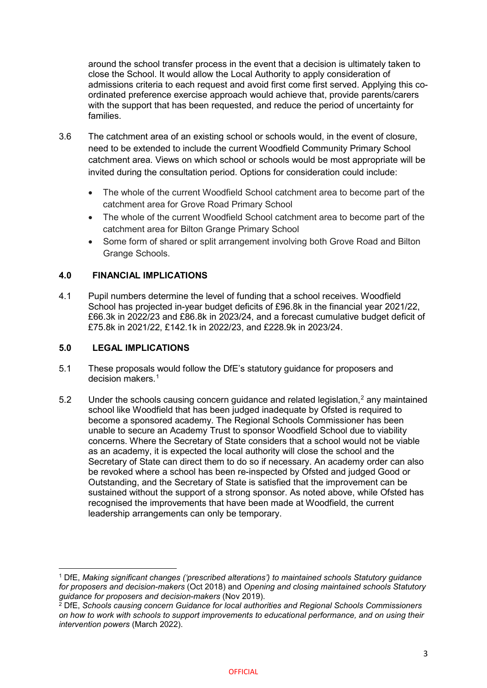around the school transfer process in the event that a decision is ultimately taken to close the School. It would allow the Local Authority to apply consideration of admissions criteria to each request and avoid first come first served. Applying this coordinated preference exercise approach would achieve that, provide parents/carers with the support that has been requested, and reduce the period of uncertainty for families.

- 3.6 The catchment area of an existing school or schools would, in the event of closure, need to be extended to include the current Woodfield Community Primary School catchment area. Views on which school or schools would be most appropriate will be invited during the consultation period. Options for consideration could include:
	- The whole of the current Woodfield School catchment area to become part of the catchment area for Grove Road Primary School
	- The whole of the current Woodfield School catchment area to become part of the catchment area for Bilton Grange Primary School
	- Some form of shared or split arrangement involving both Grove Road and Bilton Grange Schools.

# **4.0 FINANCIAL IMPLICATIONS**

4.1 Pupil numbers determine the level of funding that a school receives. Woodfield School has projected in-year budget deficits of £96.8k in the financial year 2021/22, £66.3k in 2022/23 and £86.8k in 2023/24, and a forecast cumulative budget deficit of £75.8k in 2021/22, £142.1k in 2022/23, and £228.9k in 2023/24.

# **5.0 LEGAL IMPLICATIONS**

**.** 

- 5.1 These proposals would follow the DfE's statutory guidance for proposers and decision makers. [1](#page-2-0)
- 5.[2](#page-2-1) Under the schools causing concern guidance and related legislation.<sup>2</sup> any maintained school like Woodfield that has been judged inadequate by Ofsted is required to become a sponsored academy. The Regional Schools Commissioner has been unable to secure an Academy Trust to sponsor Woodfield School due to viability concerns. Where the Secretary of State considers that a school would not be viable as an academy, it is expected the local authority will close the school and the Secretary of State can direct them to do so if necessary. An academy order can also be revoked where a school has been re-inspected by Ofsted and judged Good or Outstanding, and the Secretary of State is satisfied that the improvement can be sustained without the support of a strong sponsor. As noted above, while Ofsted has recognised the improvements that have been made at Woodfield, the current leadership arrangements can only be temporary.

<span id="page-2-0"></span><sup>1</sup> DfE, *Making significant changes ('prescribed alterations') to maintained schools Statutory guidance for proposers and decision-makers* (Oct 2018) and *Opening and closing maintained schools Statutory guidance for proposers and decision-makers* (Nov 2019).

<span id="page-2-1"></span><sup>2</sup> DfE, *Schools causing concern Guidance for local authorities and Regional Schools Commissioners on how to work with schools to support improvements to educational performance, and on using their intervention powers* (March 2022).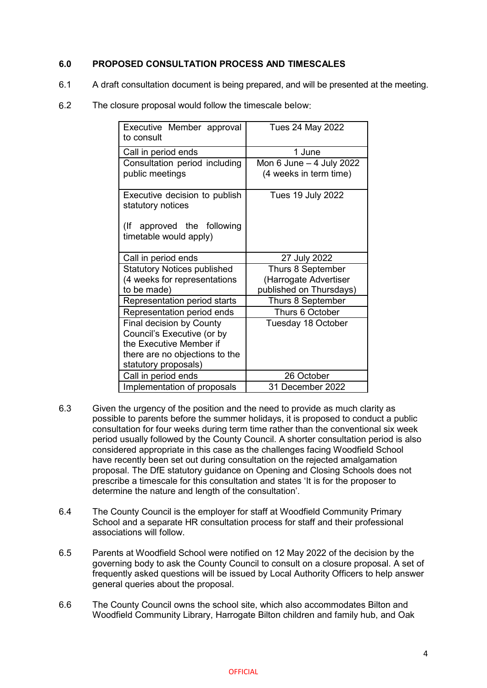# **6.0 PROPOSED CONSULTATION PROCESS AND TIMESCALES**

- 6.1 A draft consultation document is being prepared, and will be presented at the meeting.
- 6.2 The closure proposal would follow the timescale below:

| Executive Member approval<br>to consult                                                                                                     | Tues 24 May 2022                                                      |  |  |  |  |  |  |  |
|---------------------------------------------------------------------------------------------------------------------------------------------|-----------------------------------------------------------------------|--|--|--|--|--|--|--|
| Call in period ends                                                                                                                         | 1 June                                                                |  |  |  |  |  |  |  |
| Consultation period including<br>public meetings                                                                                            | Mon $6$ June $-4$ July 2022<br>(4 weeks in term time)                 |  |  |  |  |  |  |  |
| Executive decision to publish<br>statutory notices<br>(lf<br>approved the following<br>timetable would apply)                               | <b>Tues 19 July 2022</b>                                              |  |  |  |  |  |  |  |
| Call in period ends                                                                                                                         | 27 July 2022                                                          |  |  |  |  |  |  |  |
| <b>Statutory Notices published</b><br>(4 weeks for representations<br>to be made)                                                           | Thurs 8 September<br>(Harrogate Advertiser<br>published on Thursdays) |  |  |  |  |  |  |  |
| Representation period starts                                                                                                                | Thurs 8 September                                                     |  |  |  |  |  |  |  |
| Representation period ends                                                                                                                  | Thurs 6 October                                                       |  |  |  |  |  |  |  |
| Final decision by County<br>Council's Executive (or by<br>the Executive Member if<br>there are no objections to the<br>statutory proposals) | Tuesday 18 October                                                    |  |  |  |  |  |  |  |
| Call in period ends                                                                                                                         | 26 October                                                            |  |  |  |  |  |  |  |
| Implementation of proposals                                                                                                                 | 31 December 2022                                                      |  |  |  |  |  |  |  |

- 6.3 Given the urgency of the position and the need to provide as much clarity as possible to parents before the summer holidays, it is proposed to conduct a public consultation for four weeks during term time rather than the conventional six week period usually followed by the County Council. A shorter consultation period is also considered appropriate in this case as the challenges facing Woodfield School have recently been set out during consultation on the rejected amalgamation proposal. The DfE statutory guidance on Opening and Closing Schools does not prescribe a timescale for this consultation and states 'It is for the proposer to determine the nature and length of the consultation'.
- 6.4 The County Council is the employer for staff at Woodfield Community Primary School and a separate HR consultation process for staff and their professional associations will follow.
- 6.5 Parents at Woodfield School were notified on 12 May 2022 of the decision by the governing body to ask the County Council to consult on a closure proposal. A set of frequently asked questions will be issued by Local Authority Officers to help answer general queries about the proposal.
- 6.6 The County Council owns the school site, which also accommodates Bilton and Woodfield Community Library, Harrogate Bilton children and family hub, and Oak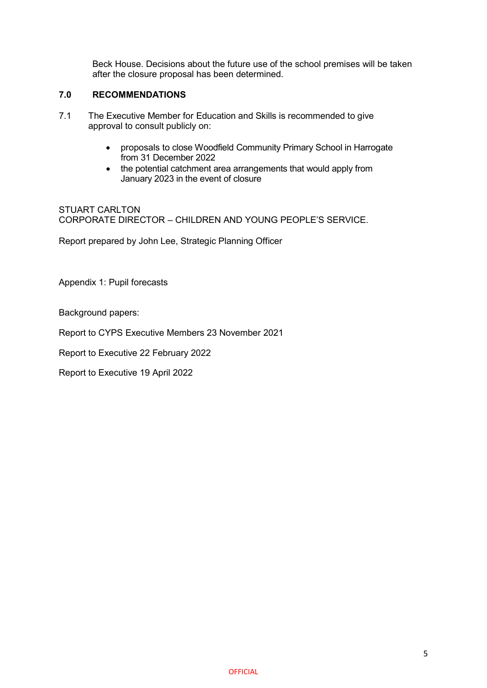Beck House. Decisions about the future use of the school premises will be taken after the closure proposal has been determined.

# **7.0 RECOMMENDATIONS**

- 7.1 The Executive Member for Education and Skills is recommended to give approval to consult publicly on:
	- proposals to close Woodfield Community Primary School in Harrogate from 31 December 2022
	- the potential catchment area arrangements that would apply from January 2023 in the event of closure

STUART CARLTON CORPORATE DIRECTOR – CHILDREN AND YOUNG PEOPLE'S SERVICE.

Report prepared by John Lee, Strategic Planning Officer

Appendix 1: Pupil forecasts

Background papers:

Report to CYPS Executive Members 23 November 2021

Report to Executive 22 February 2022

Report to Executive 19 April 2022